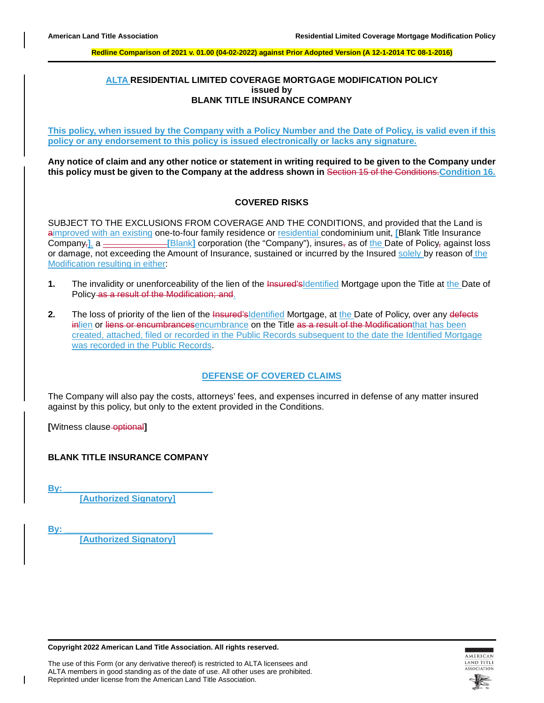## **ALTA RESIDENTIAL LIMITED COVERAGE MORTGAGE MODIFICATION POLICY issued by BLANK TITLE INSURANCE COMPANY**

**This policy, when issued by the Company with a Policy Number and the Date of Policy, is valid even if this policy or any endorsement to this policy is issued electronically or lacks any signature.**

**Any notice of claim and any other notice or statement in writing required to be given to the Company under this policy must be given to the Company at the address shown in** Section 15 of the Conditions.**Condition 16.**

# **COVERED RISKS**

SUBJECT TO THE EXCLUSIONS FROM COVERAGE AND THE CONDITIONS, and provided that the Land is aimproved with an existing one-to-four family residence or residential condominium unit, **[**Blank Title Insurance Company,**]**, a \_\_\_\_\_\_\_\_\_\_\_\_\_**[**Blank**]** corporation (the "Company"), insures, as of the Date of Policy, against loss or damage, not exceeding the Amount of Insurance, sustained or incurred by the Insured solely by reason of the Modification resulting in either:

- **1.** The invalidity or unenforceability of the lien of the Insured'sIdentified Mortgage upon the Title at the Date of Policy as a result of the Modification; and.
- **2.** The loss of priority of the lien of the Insured's ldentified Mortgage, at the Date of Policy, over any defects inlien or liens or encumbrancesencumbrance on the Title as a result of the Modificationthat has been created, attached, filed or recorded in the Public Records subsequent to the date the Identified Mortgage was recorded in the Public Records.

# **DEFENSE OF COVERED CLAIMS**

The Company will also pay the costs, attorneys' fees, and expenses incurred in defense of any matter insured against by this policy, but only to the extent provided in the Conditions.

**[**Witness clause optional**]**

**BLANK TITLE INSURANCE COMPANY**

**By: \_\_\_\_\_\_\_\_\_\_\_\_\_\_\_\_\_\_\_\_\_\_\_\_\_\_\_\_\_\_**

**[Authorized Signatory]**

**By: \_\_\_\_\_\_\_\_\_\_\_\_\_\_\_\_\_\_\_\_\_\_\_\_\_\_\_\_\_\_**

**[Authorized Signatory]**

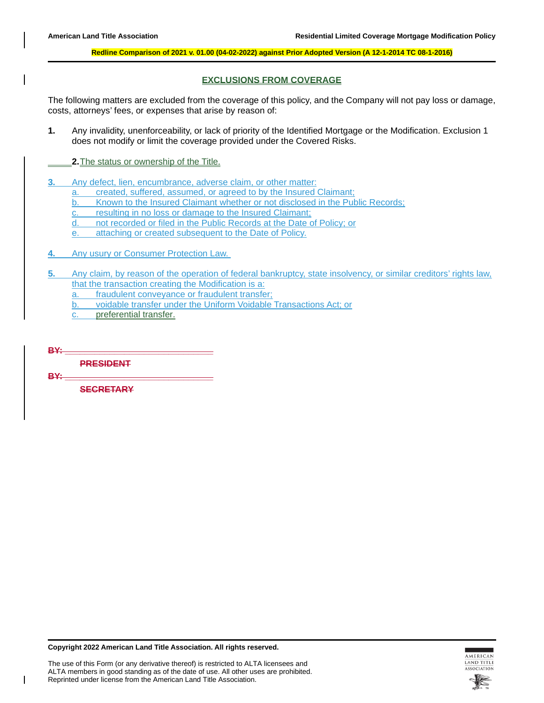## **EXCLUSIONS FROM COVERAGE**

The following matters are excluded from the coverage of this policy, and the Company will not pay loss or damage, costs, attorneys' fees, or expenses that arise by reason of:

**1.** Any invalidity, unenforceability, or lack of priority of the Identified Mortgage or the Modification. Exclusion 1 does not modify or limit the coverage provided under the Covered Risks.

## **2.**The status or ownership of the Title.

- **3.** Any defect, lien, encumbrance, adverse claim, or other matter:
	- a. created, suffered, assumed, or agreed to by the Insured Claimant;
	- b. Known to the Insured Claimant whether or not disclosed in the Public Records;
	- c. resulting in no loss or damage to the Insured Claimant;
	- d. not recorded or filed in the Public Records at the Date of Policy; or
	- e. attaching or created subsequent to the Date of Policy.
- **4.** Any usury or Consumer Protection Law.
- **5.** Any claim, by reason of the operation of federal bankruptcy, state insolvency, or similar creditors' rights law, that the transaction creating the Modification is a:
	- a. fraudulent conveyance or fraudulent transfer;
	- b. voidable transfer under the Uniform Voidable Transactions Act; or
	- c. preferential transfer.
- **BY: \_\_\_\_\_\_\_\_\_\_\_\_\_\_\_\_\_\_\_\_\_\_\_\_\_\_\_\_\_\_**

**PRESIDENT**

**BY: \_\_\_\_\_\_\_\_\_\_\_\_\_\_\_\_\_\_\_\_\_\_\_\_\_\_\_\_\_\_**

**SECRETARY**

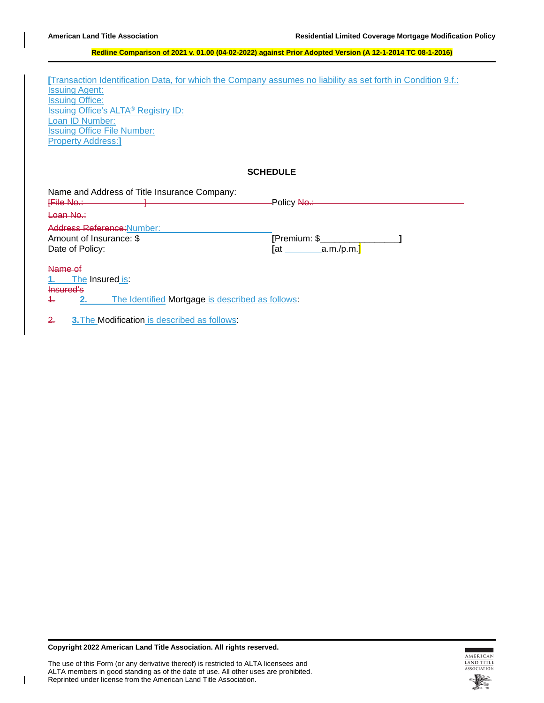| [Transaction Identification Data, for which the Company assumes no liability as set forth in Condition 9.f.:<br><b>Issuing Agent:</b><br><b>Issuing Office:</b><br>Issuing Office's ALTA <sup>®</sup> Registry ID:<br>Loan ID Number:<br><b>Issuing Office File Number:</b><br><b>Property Address:</b> ] |                                                  |
|-----------------------------------------------------------------------------------------------------------------------------------------------------------------------------------------------------------------------------------------------------------------------------------------------------------|--------------------------------------------------|
| <b>SCHEDULE</b>                                                                                                                                                                                                                                                                                           |                                                  |
| Name and Address of Title Insurance Company:<br><del>!File No.∶</del>                                                                                                                                                                                                                                     | -Policy <del>No.:</del>                          |
| Loan No.:                                                                                                                                                                                                                                                                                                 |                                                  |
| Address Reference: Number:<br>Amount of Insurance: \$<br>Date of Policy:                                                                                                                                                                                                                                  | [Premium: \$______________<br>$[at$ $a.m./p.m.]$ |
| Name of                                                                                                                                                                                                                                                                                                   |                                                  |

**1.** The Insured is: Insured's

1. **2.** The Identified Mortgage is described as follows:

2. **3.**The Modification is described as follows:



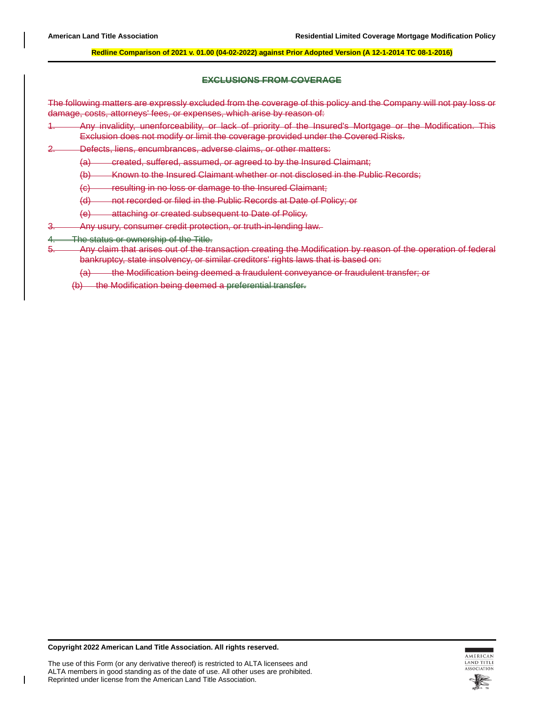#### **EXCLUSIONS FROM COVERAGE**

The following matters are expressly excluded from the coverage of this policy and the Company will not pay loss or damage, costs, attorneys' fees, or expenses, which arise by reason of:

- 1. Any invalidity, unenforceability, or lack of priority of the Insured's Mortgage or the Modification. This Exclusion does not modify or limit the coverage provided under the Covered Risks.
- 2. Defects, liens, encumbrances, adverse claims, or other matters:
	- (a) created, suffered, assumed, or agreed to by the Insured Claimant;
	- (b) Known to the Insured Claimant whether or not disclosed in the Public Records;
	- (c) resulting in no loss or damage to the Insured Claimant;
	- (d) not recorded or filed in the Public Records at Date of Policy; or
	- (e) attaching or created subsequent to Date of Policy.
- 3. Any usury, consumer credit protection, or truth-in-lending law.
- The status or ownership of the Title.
	- Any claim that arises out of the transaction creating the Modification by reason of the operation of federal bankruptcy, state insolvency, or similar creditors' rights laws that is based on:
		- (a) the Modification being deemed a fraudulent conveyance or fraudulent transfer; or
		- (b) the Modification being deemed a preferential transfer.



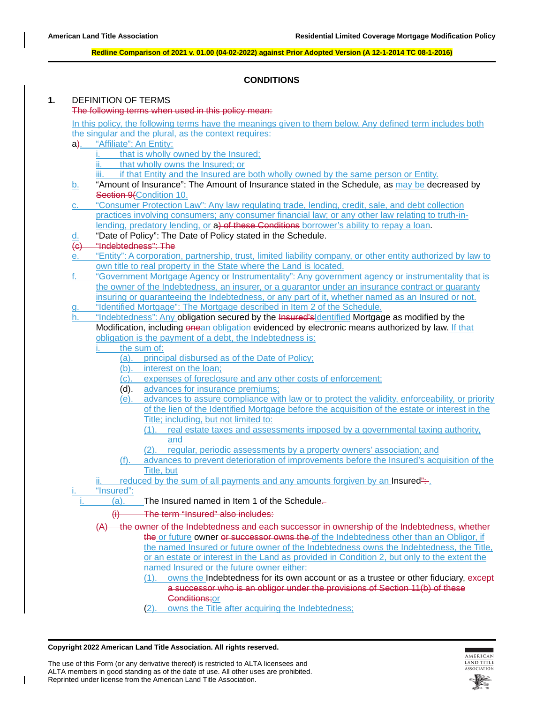# **CONDITIONS**

## **1.** DEFINITION OF TERMS

### The following terms when used in this policy mean:

In this policy, the following terms have the meanings given to them below. Any defined term includes both the singular and the plural, as the context requires:

- a). "Affiliate": An Entity:
	- that is wholly owned by the Insured;
	- ii. that wholly owns the Insured; or
	- iii. if that Entity and the Insured are both wholly owned by the same person or Entity.
- b. "Amount of Insurance": The Amount of Insurance stated in the Schedule, as may be decreased by Section 9(Condition 10.
- c. "Consumer Protection Law": Any law regulating trade, lending, credit, sale, and debt collection practices involving consumers; any consumer financial law; or any other law relating to truth-inlending, predatory lending, or a) of these Conditions borrower's ability to repay a loan.
- d. "Date of Policy": The Date of Policy stated in the Schedule.
- (c) "Indebtedness": The
- e. "Entity": A corporation, partnership, trust, limited liability company, or other entity authorized by law to own title to real property in the State where the Land is located.
- f. "Government Mortgage Agency or Instrumentality": Any government agency or instrumentality that is the owner of the Indebtedness, an insurer, or a guarantor under an insurance contract or guaranty insuring or guaranteeing the Indebtedness, or any part of it, whether named as an Insured or not. "Identified Mortgage": The Mortgage described in Item 2 of the Schedule.
- h. "Indebtedness": Any obligation secured by the Insured'sIdentified Mortgage as modified by the Modification, including onean obligation evidenced by electronic means authorized by law. If that obligation is the payment of a debt, the Indebtedness is:
	- the sum of:
		- (a). principal disbursed as of the Date of Policy;
		- (b). interest on the loan;
		- (c). expenses of foreclosure and any other costs of enforcement;
		- (d). advances for insurance premiums;
		- (e). advances to assure compliance with law or to protect the validity, enforceability, or priority of the lien of the Identified Mortgage before the acquisition of the estate or interest in the Title; including, but not limited to:
			- (1). real estate taxes and assessments imposed by a governmental taxing authority, and
			- (2). regular, periodic assessments by a property owners' association; and
		- (f). advances to prevent deterioration of improvements before the Insured's acquisition of the Title, but
	- ii. reduced by the sum of all payments and any amounts forgiven by an Insured":

i. "Insured":

- $(a)$ . The Insured named in Item 1 of the Schedule.
	- (i) The term "Insured" also includes:
- the owner of the Indebtedness and each successor in ownership of the Indebtedness, whether the or future owner or successor owns the of the Indebtedness other than an Obligor, if the named Insured or future owner of the Indebtedness owns the Indebtedness, the Title, or an estate or interest in the Land as provided in Condition 2, but only to the extent the named Insured or the future owner either:
	- (1). owns the Indebtedness for its own account or as a trustee or other fiduciary, except a successor who is an obligor under the provisions of Section 11(b) of these Conditions;or
	- (2). owns the Title after acquiring the Indebtedness;

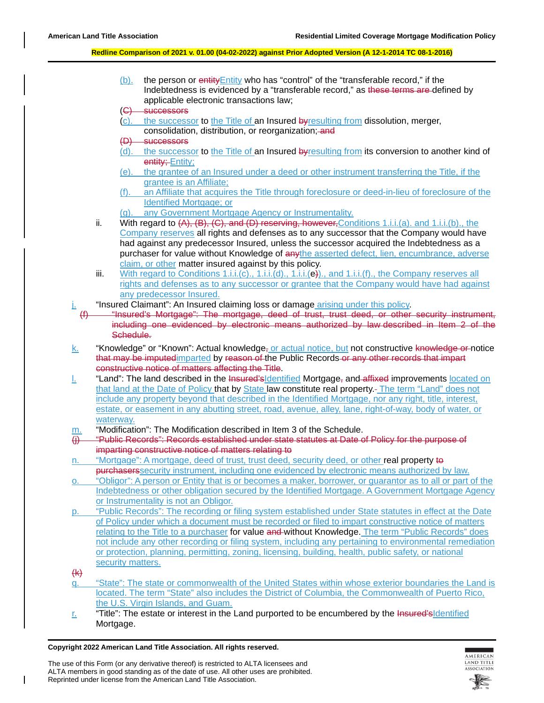- $(b)$ . the person or entity Entity who has "control" of the "transferable record," if the Indebtedness is evidenced by a "transferable record," as these terms are defined by applicable electronic transactions law;
- (C) successors
- (c). the successor to the Title of an Insured byresulting from dissolution, merger,
- consolidation, distribution, or reorganization; and
- (D) successors
- (d). the successor to the Title of an Insured byresulting from its conversion to another kind of entity; Entity;
- (e). the grantee of an Insured under a deed or other instrument transferring the Title, if the grantee is an Affiliate;
- (f). an Affiliate that acquires the Title through foreclosure or deed-in-lieu of foreclosure of the Identified Mortgage; or
- (g). any Government Mortgage Agency or Instrumentality.
- ii. With regard to  $(A)$ ,  $(B)$ ,  $(C)$ , and  $(D)$  reserving, however, Conditions 1.i.i.(a), and 1.i.i.(b)., the Company reserves all rights and defenses as to any successor that the Company would have had against any predecessor Insured, unless the successor acquired the Indebtedness as a purchaser for value without Knowledge of anythe asserted defect, lien, encumbrance, adverse claim, or other matter insured against by this policy.
- iii. With regard to Conditions 1.i.i.(c)., 1.i.i.(d)., 1.i.i.(e))., and 1.i.i.(f)., the Company reserves all rights and defenses as to any successor or grantee that the Company would have had against any predecessor Insured.
- j. "Insured Claimant": An Insured claiming loss or damage arising under this policy.
	- "Insured's Mortgage": The mortgage, deed of trust, trust deed, or other security instrument, including one evidenced by electronic means authorized by law described in Item 2 of the Schedule.
- k. "Knowledge" or "Known": Actual knowledge, or actual notice, but not constructive knowledge or notice that may be imputed imparted by reason of the Public Records or any other records that impart constructive notice of matters affecting the Title.
- **L.** "Land": The land described in the Insured's dentified Mortgage, and affixed improvements located on that land at the Date of Policy that by State law constitute real property. The term "Land" does not include any property beyond that described in the Identified Mortgage, nor any right, title, interest, estate, or easement in any abutting street, road, avenue, alley, lane, right-of-way, body of water, or waterway.
- m. "Modification": The Modification described in Item 3 of the Schedule.
- (j) "Public Records": Records established under state statutes at Date of Policy for the purpose of imparting constructive notice of matters relating to
- n. "Mortgage": A mortgage, deed of trust, trust deed, security deed, or other real property to purchaserssecurity instrument, including one evidenced by electronic means authorized by law.
- o. "Obligor": A person or Entity that is or becomes a maker, borrower, or guarantor as to all or part of the Indebtedness or other obligation secured by the Identified Mortgage. A Government Mortgage Agency or Instrumentality is not an Obligor.
- p. "Public Records": The recording or filing system established under State statutes in effect at the Date of Policy under which a document must be recorded or filed to impart constructive notice of matters relating to the Title to a purchaser for value and without Knowledge. The term "Public Records" does not include any other recording or filing system, including any pertaining to environmental remediation or protection, planning, permitting, zoning, licensing, building, health, public safety, or national security matters.

 $H$ 

- q. "State": The state or commonwealth of the United States within whose exterior boundaries the Land is located. The term "State" also includes the District of Columbia, the Commonwealth of Puerto Rico, the U.S. Virgin Islands, and Guam.
- r. "Title": The estate or interest in the Land purported to be encumbered by the Insured's Identified Mortgage.



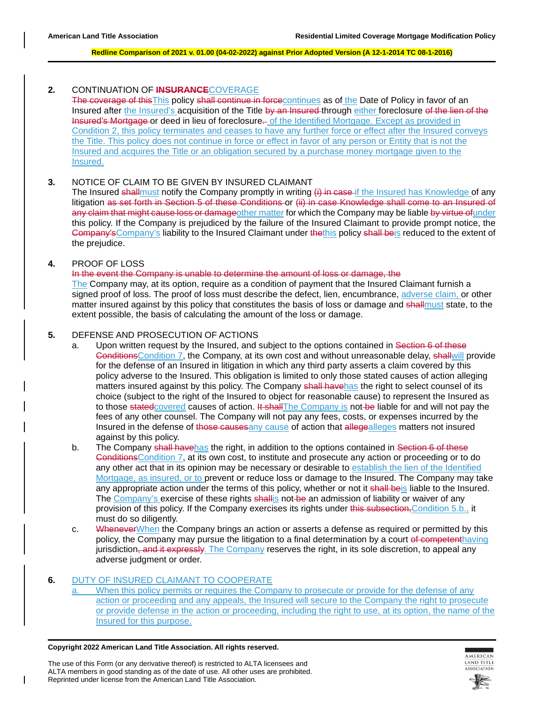# **2.** CONTINUATION OF **INSURANCE**COVERAGE

The coverage of this This policy shall continue in force continues as of the Date of Policy in favor of an Insured after the Insured's acquisition of the Title by an Insured through either foreclosure of the lien of the Insured's Mortgage or deed in lieu of foreclosure. of the Identified Mortgage. Except as provided in Condition 2, this policy terminates and ceases to have any further force or effect after the Insured conveys the Title. This policy does not continue in force or effect in favor of any person or Entity that is not the Insured and acquires the Title or an obligation secured by a purchase money mortgage given to the Insured.

# **3.** NOTICE OF CLAIM TO BE GIVEN BY INSURED CLAIMANT

The Insured shallmust notify the Company promptly in writing (i) in case if the Insured has Knowledge of any litigation as set forth in Section 5 of these Conditions or (ii) in case Knowledge shall come to an Insured of any claim that might cause loss or damageother matter for which the Company may be liable by virtue of under this policy. If the Company is prejudiced by the failure of the Insured Claimant to provide prompt notice, the Company's Company's liability to the Insured Claimant under thethis policy shall beis reduced to the extent of the prejudice.

# **4.** PROOF OF LOSS

## In the event the Company is unable to determine the amount of loss or damage, the

The Company may, at its option, require as a condition of payment that the Insured Claimant furnish a signed proof of loss. The proof of loss must describe the defect, lien, encumbrance, adverse claim, or other matter insured against by this policy that constitutes the basis of loss or damage and shallmust state, to the extent possible, the basis of calculating the amount of the loss or damage.

# **5.** DEFENSE AND PROSECUTION OF ACTIONS

- a. Upon written request by the Insured, and subject to the options contained in Section 6 of these ConditionsCondition 7, the Company, at its own cost and without unreasonable delay, shallwill provide for the defense of an Insured in litigation in which any third party asserts a claim covered by this policy adverse to the Insured. This obligation is limited to only those stated causes of action alleging matters insured against by this policy. The Company shall havehas the right to select counsel of its choice (subject to the right of the Insured to object for reasonable cause) to represent the Insured as to those stated covered causes of action. It shall The Company is not be liable for and will not pay the fees of any other counsel. The Company will not pay any fees, costs, or expenses incurred by the Insured in the defense of those causes any cause of action that allegealleges matters not insured against by this policy.
- b. The Company shall have has the right, in addition to the options contained in Section 6 of these ConditionsCondition 7, at its own cost, to institute and prosecute any action or proceeding or to do any other act that in its opinion may be necessary or desirable to establish the lien of the Identified Mortgage, as insured, or to prevent or reduce loss or damage to the Insured. The Company may take any appropriate action under the terms of this policy, whether or not it shall beis liable to the Insured. The Company's exercise of these rights shallis not be an admission of liability or waiver of any provision of this policy. If the Company exercises its rights under this subsection, Condition 5.b., it must do so diligently.
- c. WheneverWhen the Company brings an action or asserts a defense as required or permitted by this policy, the Company may pursue the litigation to a final determination by a court of competenthaving jurisdiction, and it expressly. The Company reserves the right, in its sole discretion, to appeal any adverse judgment or order.

## **6.** DUTY OF INSURED CLAIMANT TO COOPERATE

a. When this policy permits or requires the Company to prosecute or provide for the defense of any action or proceeding and any appeals, the Insured will secure to the Company the right to prosecute or provide defense in the action or proceeding, including the right to use, at its option, the name of the Insured for this purpose.

**Copyright 2022 American Land Title Association. All rights reserved.**

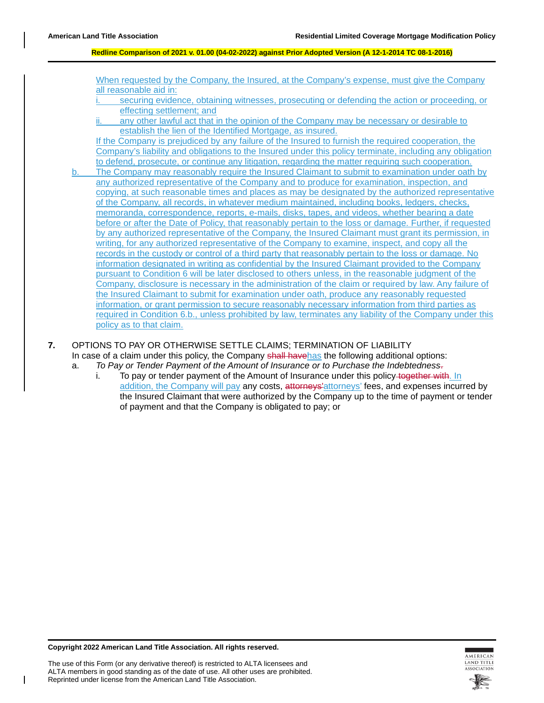When requested by the Company, the Insured, at the Company's expense, must give the Company all reasonable aid in:

- securing evidence, obtaining witnesses, prosecuting or defending the action or proceeding, or effecting settlement; and
- ii. any other lawful act that in the opinion of the Company may be necessary or desirable to establish the lien of the Identified Mortgage, as insured.

If the Company is prejudiced by any failure of the Insured to furnish the required cooperation, the Company's liability and obligations to the Insured under this policy terminate, including any obligation to defend, prosecute, or continue any litigation, regarding the matter requiring such cooperation.

b. The Company may reasonably require the Insured Claimant to submit to examination under oath by any authorized representative of the Company and to produce for examination, inspection, and copying, at such reasonable times and places as may be designated by the authorized representative of the Company, all records, in whatever medium maintained, including books, ledgers, checks, memoranda, correspondence, reports, e-mails, disks, tapes, and videos, whether bearing a date before or after the Date of Policy, that reasonably pertain to the loss or damage. Further, if requested by any authorized representative of the Company, the Insured Claimant must grant its permission, in writing, for any authorized representative of the Company to examine, inspect, and copy all the records in the custody or control of a third party that reasonably pertain to the loss or damage. No information designated in writing as confidential by the Insured Claimant provided to the Company pursuant to Condition 6 will be later disclosed to others unless, in the reasonable judgment of the Company, disclosure is necessary in the administration of the claim or required by law. Any failure of the Insured Claimant to submit for examination under oath, produce any reasonably requested information, or grant permission to secure reasonably necessary information from third parties as required in Condition 6.b., unless prohibited by law, terminates any liability of the Company under this policy as to that claim.

# **7.** OPTIONS TO PAY OR OTHERWISE SETTLE CLAIMS; TERMINATION OF LIABILITY

In case of a claim under this policy, the Company shall havehas the following additional options: a. *To Pay or Tender Payment of the Amount of Insurance or to Purchase the Indebtedness*.

i. To pay or tender payment of the Amount of Insurance under this policy-together with. In addition, the Company will pay any costs, attorneys' attorneys' fees, and expenses incurred by the Insured Claimant that were authorized by the Company up to the time of payment or tender of payment and that the Company is obligated to pay; or

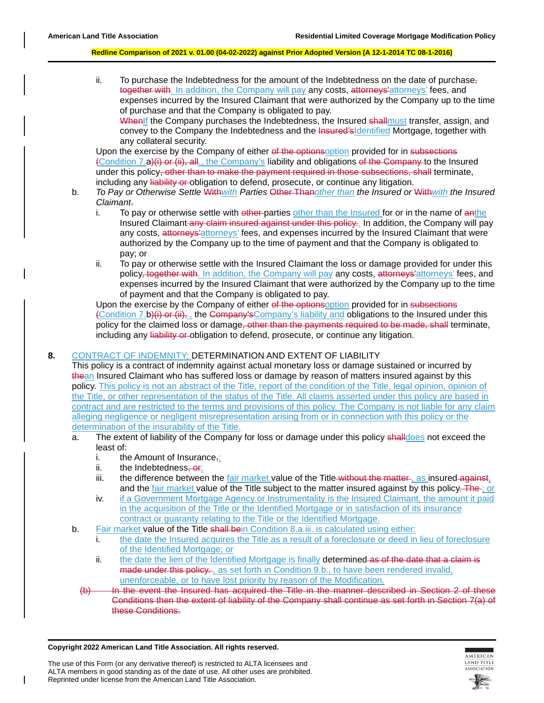ii. To purchase the Indebtedness for the amount of the Indebtedness on the date of purchase. together with. In addition, the Company will pay any costs, attorneys' attorneys' fees, and expenses incurred by the Insured Claimant that were authorized by the Company up to the time of purchase and that the Company is obligated to pay. WhenIf the Company purchases the Indebtedness, the Insured shallmust transfer, assign, and convey to the Company the Indebtedness and the Insured'sIdentified Mortgage, together with

any collateral security. Upon the exercise by the Company of either of the options option provided for in subsections (Condition 7.a)(i) or (ii), all., the Company's liability and obligations of the Company to the Insured under this policy, other than to make the payment required in those subsections, shall terminate,

- including any liability or obligation to defend, prosecute, or continue any litigation. b. *To Pay or Otherwise Settle* With*with Parties* Other Than*other than the Insured or* With*with the Insured Claimant*.
	- i. To pay or otherwise settle with other parties other than the Insured for or in the name of anthe Insured Claimant any claim insured against under this policy. In addition, the Company will pay any costs, attorneys'attorneys' fees, and expenses incurred by the Insured Claimant that were authorized by the Company up to the time of payment and that the Company is obligated to pay; or
	- ii. To pay or otherwise settle with the Insured Claimant the loss or damage provided for under this policy, together with. In addition, the Company will pay any costs, attorneys' attorneys' fees, and expenses incurred by the Insured Claimant that were authorized by the Company up to the time of payment and that the Company is obligated to pay.

Upon the exercise by the Company of either of the optionsoption provided for in subsections (Condition 7.b)(i) or (ii),., the Company's Company's liability and obligations to the Insured under this policy for the claimed loss or damage, other than the payments required to be made, shall terminate, including any liability or obligation to defend, prosecute, or continue any litigation.

# **8.** CONTRACT OF INDEMNITY; DETERMINATION AND EXTENT OF LIABILITY

This policy is a contract of indemnity against actual monetary loss or damage sustained or incurred by thean Insured Claimant who has suffered loss or damage by reason of matters insured against by this policy. This policy is not an abstract of the Title, report of the condition of the Title, legal opinion, opinion of the Title, or other representation of the status of the Title. All claims asserted under this policy are based in contract and are restricted to the terms and provisions of this policy. The Company is not liable for any claim alleging negligence or negligent misrepresentation arising from or in connection with this policy or the determination of the insurability of the Title.

- a. The extent of liability of the Company for loss or damage under this policy shalldoes not exceed the least of:
	- i. the Amount of Insurance $\frac{1}{11}$ <br>ii. the Indebtedness—er:
	- the Indebtedness, or;
	- iii. the difference between the fair market value of the Title without the matter, as insured against, and the fair market value of the Title subject to the matter insured against by this policy. The jor
	- iv. if a Government Mortgage Agency or Instrumentality is the Insured Claimant, the amount it paid in the acquisition of the Title or the Identified Mortgage or in satisfaction of its insurance contract or guaranty relating to the Title or the Identified Mortgage.
- b. Fair market value of the Title shall bein Condition 8.a.iii. is calculated using either:
	- i. the date the Insured acquires the Title as a result of a foreclosure or deed in lieu of foreclosure of the Identified Mortgage; or
	- ii. the date the lien of the Identified Mortgage is finally determined as of the date that a claim is made under this policy..., as set forth in Condition 9.b., to have been rendered invalid, unenforceable, or to have lost priority by reason of the Modification.
	- In the event the Insured has acquired the Title in the manner described in Section 2 of these Conditions then the extent of liability of the Company shall continue as set forth in Section 7(a) of these Conditions.



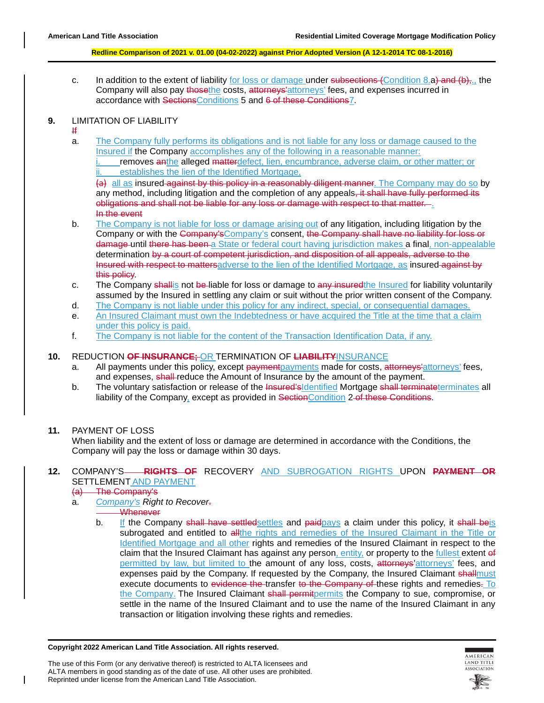c. In addition to the extent of liability for loss or damage under subsections (Condition 8.a) and  $(b)$ ,., the Company will also pay thosethe costs, attorneys'attorneys' fees, and expenses incurred in accordance with SectionsConditions 5 and 6 of these Conditions7.

# **9.** LIMITATION OF LIABILITY

- If
	- a. The Company fully performs its obligations and is not liable for any loss or damage caused to the Insured if the Company accomplishes any of the following in a reasonable manner:
		- removes anthe alleged matterdefect, lien, encumbrance, adverse claim, or other matter; or
		- ii. establishes the lien of the Identified Mortgage,

(a) all as insured against by this policy in a reasonably diligent manner. The Company may do so by any method, including litigation and the completion of any appeals, it shall have fully performed its obligations and shall not be liable for any loss or damage with respect to that matter. . In the event

- b. The Company is not liable for loss or damage arising out of any litigation, including litigation by the Company or with the Company's Company's consent, the Company shall have no liability for loss or damage until there has been a State or federal court having jurisdiction makes a final, non-appealable determination by a court of competent jurisdiction, and disposition of all appeals, adverse to the Insured with respect to mattersadverse to the lien of the Identified Mortgage, as insured against by this policy.
- c. The Company shallis not be liable for loss or damage to any insured the Insured for liability voluntarily assumed by the Insured in settling any claim or suit without the prior written consent of the Company.
- d. The Company is not liable under this policy for any indirect, special, or consequential damages.
- e. An Insured Claimant must own the Indebtedness or have acquired the Title at the time that a claim under this policy is paid.
- f. The Company is not liable for the content of the Transaction Identification Data, if any.

## **10.** REDUCTION **OF INSURANCE;** OR TERMINATION OF **LIABILITY**INSURANCE

- a. All payments under this policy, except payment payments made for costs, attorneys' attorneys' fees, and expenses, shall-reduce the Amount of Insurance by the amount of the payment.
- b. The voluntary satisfaction or release of the Insured'sIdentified Mortgage shall terminateterminates all liability of the Company, except as provided in SectionCondition 2-of these Conditions.

# **11.** PAYMENT OF LOSS

When liability and the extent of loss or damage are determined in accordance with the Conditions, the Company will pay the loss or damage within 30 days.

## **12.** COMPANY'S **RIGHTS OF** RECOVERY AND SUBROGATION RIGHTS UPON **PAYMENT OR**  SETTLEMENT AND PAYMENT

## (a) The Company's

a. *Company's Right to Recover*.

**Whenever** 

b. If the Company shall have settled settles and paid pays a claim under this policy, it shall be is subrogated and entitled to all the rights and remedies of the Insured Claimant in the Title or Identified Mortgage and all other rights and remedies of the Insured Claimant in respect to the claim that the Insured Claimant has against any person, entity, or property to the fullest extent of permitted by law, but limited to the amount of any loss, costs, attorneys' attorneys' fees, and expenses paid by the Company. If requested by the Company, the Insured Claimant shallmust execute documents to evidence the transfer to the Company of these rights and remedies. To the Company. The Insured Claimant shall permit permits the Company to sue, compromise, or settle in the name of the Insured Claimant and to use the name of the Insured Claimant in any transaction or litigation involving these rights and remedies.

**Copyright 2022 American Land Title Association. All rights reserved.**

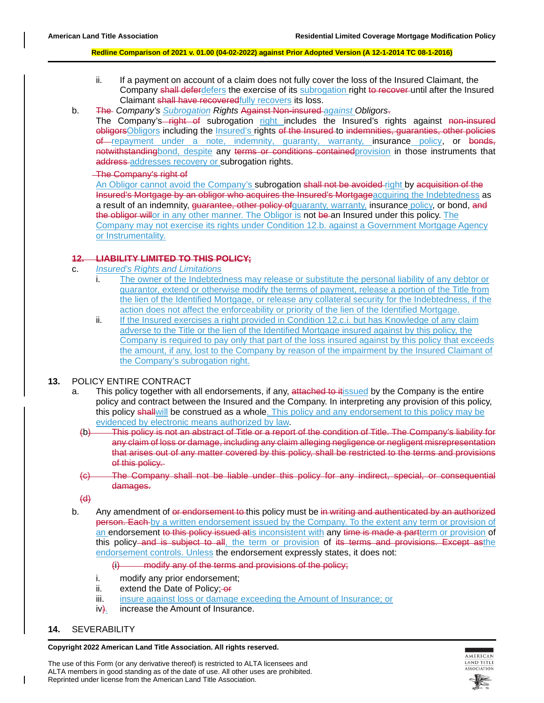- ii. If a payment on account of a claim does not fully cover the loss of the Insured Claimant, the Company shall deferdefers the exercise of its subrogation right to recover until after the Insured Claimant shall have recoveredfully recovers its loss.
- b. The *Company's Subrogation Rights* Against Non-insured *against Obligors*.

The Company's-right of subrogation right includes the Insured's rights against non-insured obligorsObligors including the Insured's rights of the Insured to indemnities, guaranties, other policies of repayment under a note, indemnity, guaranty, warranty, insurance policy, or bonds, notwithstandingbond, despite any terms or conditions contained provision in those instruments that address addresses recovery or subrogation rights.

### The Company's right of

An Obligor cannot avoid the Company's subrogation shall not be avoided right by acquisition of the Insured's Mortgage by an obligor who acquires the Insured's Mortgageacquiring the Indebtedness as a result of an indemnity, guarantee, other policy of guaranty, warranty, insurance policy, or bond, and the obligor willor in any other manner. The Obligor is not be an Insured under this policy. The Company may not exercise its rights under Condition 12.b. against a Government Mortgage Agency or Instrumentality.

## **12. LIABILITY LIMITED TO THIS POLICY;**

- c. *Insured's Rights and Limitations*
	- i. The owner of the Indebtedness may release or substitute the personal liability of any debtor or guarantor, extend or otherwise modify the terms of payment, release a portion of the Title from the lien of the Identified Mortgage, or release any collateral security for the Indebtedness, if the action does not affect the enforceability or priority of the lien of the Identified Mortgage.
	- ii. If the Insured exercises a right provided in Condition 12.c.i. but has Knowledge of any claim adverse to the Title or the lien of the Identified Mortgage insured against by this policy, the Company is required to pay only that part of the loss insured against by this policy that exceeds the amount, if any, lost to the Company by reason of the impairment by the Insured Claimant of the Company's subrogation right.

# **13.** POLICY ENTIRE CONTRACT

- a. This policy together with all endorsements, if any, attached to it issued by the Company is the entire policy and contract between the Insured and the Company. In interpreting any provision of this policy, this policy shallwill be construed as a whole. This policy and any endorsement to this policy may be evidenced by electronic means authorized by law.
	- (b) This policy is not an abstract of Title or a report of the condition of Title. The Company's liability for any claim of loss or damage, including any claim alleging negligence or negligent misrepresentation that arises out of any matter covered by this policy, shall be restricted to the terms and provisions of this policy.
	- (c) The Company shall not be liable under this policy for any indirect, special, or consequential damages.

 $(d)$ 

b. Any amendment of or endorsement to this policy must be in writing and authenticated by an authorized person. Each by a written endorsement issued by the Company. To the extent any term or provision of an endorsement to this policy issued atis inconsistent with any time is made a partterm or provision of this policy and is subject to all, the term or provision of its terms and provisions. Except asthe endorsement controls. Unless the endorsement expressly states, it does not:

### (i) modify any of the terms and provisions of the policy;

- i. modify any prior endorsement;
- ii. extend the Date of Policy;  $-$ or
- iii. insure against loss or damage exceeding the Amount of Insurance; or
- iv). increase the Amount of Insurance.

## **14.** SEVERABILITY

**Copyright 2022 American Land Title Association. All rights reserved.**

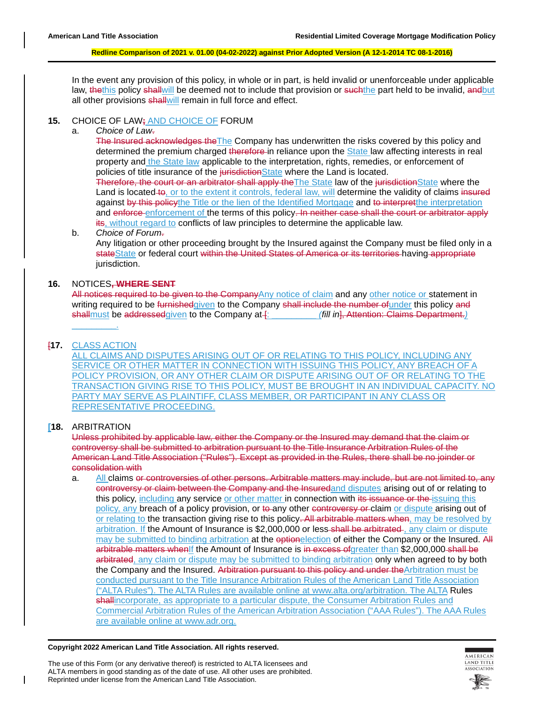In the event any provision of this policy, in whole or in part, is held invalid or unenforceable under applicable law, thethis policy shallwill be deemed not to include that provision or suchthe part held to be invalid, andbut all other provisions shallwill remain in full force and effect.

### **15.** CHOICE OF LAW**;** AND CHOICE OF FORUM

## a. *Choice of Law*.

The Insured acknowledges the The Company has underwritten the risks covered by this policy and determined the premium charged therefore in reliance upon the State law affecting interests in real property and the State law applicable to the interpretation, rights, remedies, or enforcement of policies of title insurance of the jurisdictionState where the Land is located.

Therefore, the court or an arbitrator shall apply theThe State law of the jurisdictionState where the Land is located to, or to the extent it controls, federal law, will determine the validity of claims insured against by this policythe Title or the lien of the Identified Mortgage and to interpretthe interpretation and enforce enforcement of the terms of this policy. In neither case shall the court or arbitrator apply its, without regard to conflicts of law principles to determine the applicable law.

## b. *Choice of Forum*.

Any litigation or other proceeding brought by the Insured against the Company must be filed only in a stateState or federal court within the United States of America or its territories having appropriate jurisdiction.

## **16.** NOTICES**, WHERE SENT**

All notices required to be given to the CompanyAny notice of claim and any other notice or statement in writing required to be furnishedgiven to the Company shall include the number of under this policy and<br>shall must be addressedgiven to the Company at fill interesting the Claims Department. shallmust be addressedgiven to the Company at F:

## [**17.** CLASS ACTION

\_\_\_\_\_\_\_\_\_.

ALL CLAIMS AND DISPUTES ARISING OUT OF OR RELATING TO THIS POLICY, INCLUDING ANY SERVICE OR OTHER MATTER IN CONNECTION WITH ISSUING THIS POLICY, ANY BREACH OF A POLICY PROVISION, OR ANY OTHER CLAIM OR DISPUTE ARISING OUT OF OR RELATING TO THE TRANSACTION GIVING RISE TO THIS POLICY, MUST BE BROUGHT IN AN INDIVIDUAL CAPACITY. NO PARTY MAY SERVE AS PLAINTIFF, CLASS MEMBER, OR PARTICIPANT IN ANY CLASS OR REPRESENTATIVE PROCEEDING.

## **[18.** ARBITRATION

Unless prohibited by applicable law, either the Company or the Insured may demand that the claim or controversy shall be submitted to arbitration pursuant to the Title Insurance Arbitration Rules of the American Land Title Association ("Rules"). Except as provided in the Rules, there shall be no joinder or consolidation with

a. All claims or controversies of other persons. Arbitrable matters may include, but are not limited to, any controversy or claim between the Company and the Insuredand disputes arising out of or relating to this policy, including any service or other matter in connection with its issuance or the issuing this policy, any breach of a policy provision, or to any other controversy or claim or dispute arising out of or relating to the transaction giving rise to this policy. All arbitrable matters when, may be resolved by arbitration. If the Amount of Insurance is \$2,000,000 or less-shall be arbitrated, any claim or dispute may be submitted to binding arbitration at the eptionelection of either the Company or the Insured. All arbitrable matters whenIf the Amount of Insurance is in excess of greater than \$2,000,000-shall be arbitrated, any claim or dispute may be submitted to binding arbitration only when agreed to by both the Company and the Insured. Arbitration pursuant to this policy and under the Arbitration must be conducted pursuant to the Title Insurance Arbitration Rules of the American Land Title Association ("ALTA Rules"). The ALTA Rules are available online at [www.alta.org/arbitration.](http://www.alta.org/arbitration) The ALTA Rules shallincorporate, as appropriate to a particular dispute, the Consumer Arbitration Rules and Commercial Arbitration Rules of the American Arbitration Association ("AAA Rules"). The AAA Rules are available online at [www.adr.org.](http://www.adr.org/)

**Copyright 2022 American Land Title Association. All rights reserved.**